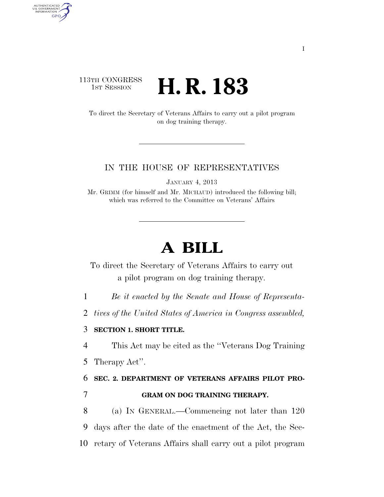### 113TH CONGRESS <sup>TH CONGRESS</sup> **H. R. 183**

AUTHENTICATED<br>U.S. GOVERNMENT<br>INFORMATION

**GPO** 

To direct the Secretary of Veterans Affairs to carry out a pilot program on dog training therapy.

### IN THE HOUSE OF REPRESENTATIVES

JANUARY 4, 2013

Mr. GRIMM (for himself and Mr. MICHAUD) introduced the following bill; which was referred to the Committee on Veterans' Affairs

# **A BILL**

To direct the Secretary of Veterans Affairs to carry out a pilot program on dog training therapy.

1 *Be it enacted by the Senate and House of Representa-*

2 *tives of the United States of America in Congress assembled,* 

### 3 **SECTION 1. SHORT TITLE.**

4 This Act may be cited as the ''Veterans Dog Training

5 Therapy Act''.

## 6 **SEC. 2. DEPARTMENT OF VETERANS AFFAIRS PILOT PRO-**7 **GRAM ON DOG TRAINING THERAPY.**

8 (a) IN GENERAL.—Commencing not later than 120 9 days after the date of the enactment of the Act, the Sec-10 retary of Veterans Affairs shall carry out a pilot program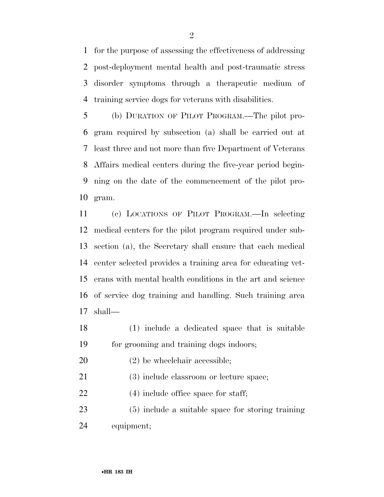for the purpose of assessing the effectiveness of addressing post-deployment mental health and post-traumatic stress disorder symptoms through a therapeutic medium of training service dogs for veterans with disabilities.

 (b) DURATION OF PILOT PROGRAM.—The pilot pro- gram required by subsection (a) shall be carried out at least three and not more than five Department of Veterans Affairs medical centers during the five-year period begin- ning on the date of the commencement of the pilot pro-gram.

 (c) LOCATIONS OF PILOT PROGRAM.—In selecting medical centers for the pilot program required under sub- section (a), the Secretary shall ensure that each medical center selected provides a training area for educating vet- erans with mental health conditions in the art and science of service dog training and handling. Such training area shall—

- (1) include a dedicated space that is suitable for grooming and training dogs indoors;
- (2) be wheelchair accessible;

(3) include classroom or lecture space;

22 (4) include office space for staff;

 (5) include a suitable space for storing training equipment;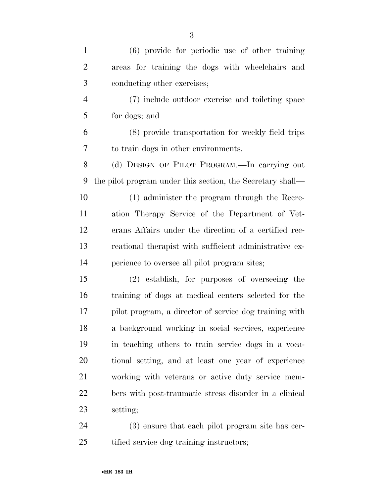| $\mathbf{1}$   | $(6)$ provide for periodic use of other training           |
|----------------|------------------------------------------------------------|
| $\overline{2}$ | areas for training the dogs with wheelchairs and           |
| 3              | conducting other exercises;                                |
| $\overline{4}$ | (7) include outdoor exercise and toileting space           |
| 5              | for dogs; and                                              |
| 6              | (8) provide transportation for weekly field trips          |
| 7              | to train dogs in other environments.                       |
| 8              | (d) DESIGN OF PILOT PROGRAM.—In carrying out               |
| 9              | the pilot program under this section, the Secretary shall— |
| 10             | (1) administer the program through the Recre-              |
| 11             | ation Therapy Service of the Department of Vet-            |
| 12             | erans Affairs under the direction of a certified rec-      |
| 13             | reational therapist with sufficient administrative ex-     |
| 14             | perience to oversee all pilot program sites;               |
| 15             | (2) establish, for purposes of overseeing the              |
| 16             | training of dogs at medical centers selected for the       |
| 17             | pilot program, a director of service dog training with     |
| 18             | a background working in social services, experience        |
| 19             | in teaching others to train service dogs in a voca-        |
| 20             | tional setting, and at least one year of experience        |
| 21             | working with veterans or active duty service mem-          |
| 22             | bers with post-traumatic stress disorder in a clinical     |
| 23             | setting;                                                   |
| 24             | $(3)$ ensure that each pilot program site has cer-         |

 (3) ensure that each pilot program site has cer-tified service dog training instructors;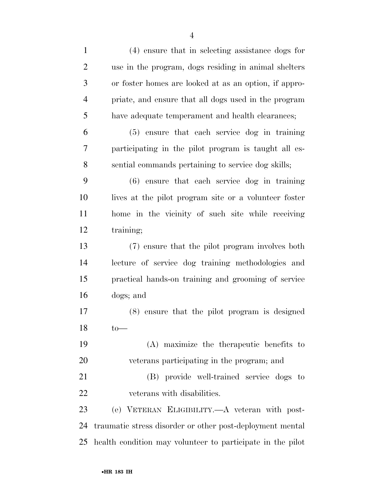| $\mathbf{1}$   | (4) ensure that in selecting assistance dogs for           |
|----------------|------------------------------------------------------------|
| $\overline{2}$ | use in the program, dogs residing in animal shelters       |
| 3              | or foster homes are looked at as an option, if appro-      |
| $\overline{4}$ | priate, and ensure that all dogs used in the program       |
| 5              | have adequate temperament and health clearances;           |
| 6              | (5) ensure that each service dog in training               |
| 7              | participating in the pilot program is taught all es-       |
| 8              | sential commands pertaining to service dog skills;         |
| 9              | $(6)$ ensure that each service dog in training             |
| 10             | lives at the pilot program site or a volunteer foster      |
| 11             | home in the vicinity of such site while receiving          |
| 12             | training;                                                  |
| 13             | (7) ensure that the pilot program involves both            |
| 14             | lecture of service dog training methodologies and          |
| 15             | practical hands-on training and grooming of service        |
| 16             | dogs; and                                                  |
| 17             | (8) ensure that the pilot program is designed              |
| 18             | $to-$                                                      |
| 19             | (A) maximize the therapeutic benefits to                   |
| 20             | veterans participating in the program; and                 |
| 21             | (B) provide well-trained service dogs to                   |
| 22             | veterans with disabilities.                                |
| 23             | (e) VETERAN ELIGIBILITY.—A veteran with post-              |
| 24             | traumatic stress disorder or other post-deployment mental  |
| 25             | health condition may volunteer to participate in the pilot |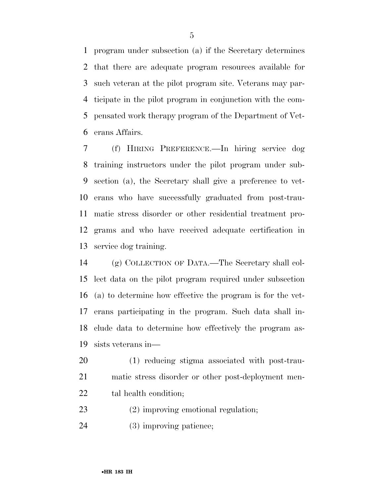program under subsection (a) if the Secretary determines that there are adequate program resources available for such veteran at the pilot program site. Veterans may par- ticipate in the pilot program in conjunction with the com- pensated work therapy program of the Department of Vet-erans Affairs.

 (f) HIRING PREFERENCE.—In hiring service dog training instructors under the pilot program under sub- section (a), the Secretary shall give a preference to vet- erans who have successfully graduated from post-trau- matic stress disorder or other residential treatment pro- grams and who have received adequate certification in service dog training.

 (g) COLLECTION OF DATA.—The Secretary shall col- lect data on the pilot program required under subsection (a) to determine how effective the program is for the vet- erans participating in the program. Such data shall in- clude data to determine how effectively the program as-sists veterans in—

 (1) reducing stigma associated with post-trau- matic stress disorder or other post-deployment men-22 tal health condition;

- (2) improving emotional regulation;
- (3) improving patience;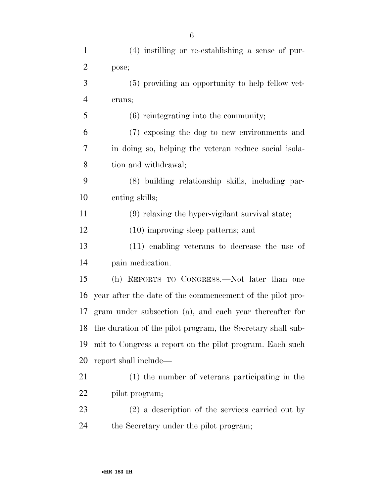| $\mathbf{1}$ | $(4)$ instilling or re-establishing a sense of pur-         |
|--------------|-------------------------------------------------------------|
| 2            | pose;                                                       |
| 3            | (5) providing an opportunity to help fellow vet-            |
| 4            | erans;                                                      |
| 5            | $(6)$ reintegrating into the community;                     |
| 6            | (7) exposing the dog to new environments and                |
| 7            | in doing so, helping the veteran reduce social isola-       |
| 8            | tion and withdrawal;                                        |
| 9            | (8) building relationship skills, including par-            |
| 10           | enting skills;                                              |
| 11           | (9) relaxing the hyper-vigilant survival state;             |
| 12           | $(10)$ improving sleep patterns; and                        |
| 13           | (11) enabling veterans to decrease the use of               |
| 14           | pain medication.                                            |
| 15           | (h) REPORTS TO CONGRESS.—Not later than one                 |
| 16           | year after the date of the commencement of the pilot pro-   |
| 17           | gram under subsection (a), and each year thereafter for     |
| 18           | the duration of the pilot program, the Secretary shall sub- |
| 19           | mit to Congress a report on the pilot program. Each such    |
| 20           | report shall include—                                       |
| 21           | (1) the number of veterans participating in the             |
| 22           | pilot program;                                              |
| 23           | $(2)$ a description of the services carried out by          |
| 24           | the Secretary under the pilot program;                      |